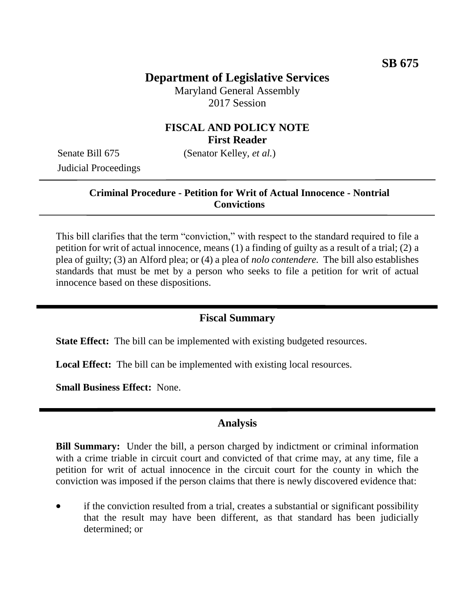# **Department of Legislative Services**

Maryland General Assembly 2017 Session

## **FISCAL AND POLICY NOTE First Reader**

Judicial Proceedings

Senate Bill 675 (Senator Kelley, *et al.*)

#### **Criminal Procedure - Petition for Writ of Actual Innocence - Nontrial Convictions**

This bill clarifies that the term "conviction," with respect to the standard required to file a petition for writ of actual innocence, means (1) a finding of guilty as a result of a trial; (2) a plea of guilty; (3) an Alford plea; or (4) a plea of *nolo contendere.* The bill also establishes standards that must be met by a person who seeks to file a petition for writ of actual innocence based on these dispositions.

#### **Fiscal Summary**

**State Effect:** The bill can be implemented with existing budgeted resources.

**Local Effect:** The bill can be implemented with existing local resources.

**Small Business Effect:** None.

#### **Analysis**

**Bill Summary:** Under the bill, a person charged by indictment or criminal information with a crime triable in circuit court and convicted of that crime may, at any time, file a petition for writ of actual innocence in the circuit court for the county in which the conviction was imposed if the person claims that there is newly discovered evidence that:

 if the conviction resulted from a trial, creates a substantial or significant possibility that the result may have been different, as that standard has been judicially determined; or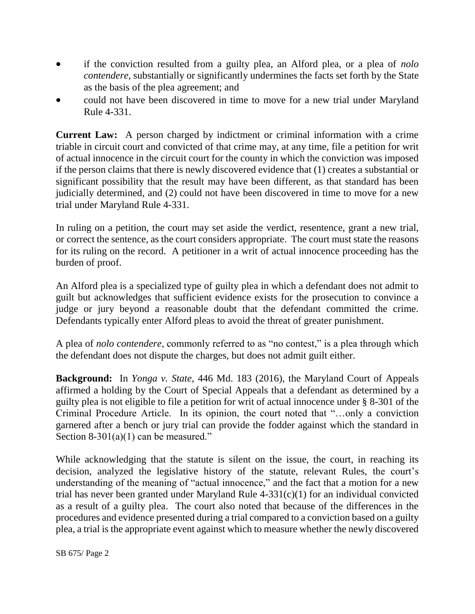- if the conviction resulted from a guilty plea, an Alford plea, or a plea of *nolo contendere*, substantially or significantly undermines the facts set forth by the State as the basis of the plea agreement; and
- could not have been discovered in time to move for a new trial under Maryland Rule 4-331.

**Current Law:** A person charged by indictment or criminal information with a crime triable in circuit court and convicted of that crime may, at any time, file a petition for writ of actual innocence in the circuit court for the county in which the conviction was imposed if the person claims that there is newly discovered evidence that (1) creates a substantial or significant possibility that the result may have been different, as that standard has been judicially determined, and (2) could not have been discovered in time to move for a new trial under Maryland Rule 4-331.

In ruling on a petition, the court may set aside the verdict, resentence, grant a new trial, or correct the sentence, as the court considers appropriate. The court must state the reasons for its ruling on the record. A petitioner in a writ of actual innocence proceeding has the burden of proof.

An Alford plea is a specialized type of guilty plea in which a defendant does not admit to guilt but acknowledges that sufficient evidence exists for the prosecution to convince a judge or jury beyond a reasonable doubt that the defendant committed the crime. Defendants typically enter Alford pleas to avoid the threat of greater punishment.

A plea of *nolo contendere*, commonly referred to as "no contest," is a plea through which the defendant does not dispute the charges, but does not admit guilt either.

**Background:** In *Yonga v. State*, 446 Md. 183 (2016), the Maryland Court of Appeals affirmed a holding by the Court of Special Appeals that a defendant as determined by a guilty plea is not eligible to file a petition for writ of actual innocence under § 8-301 of the Criminal Procedure Article. In its opinion, the court noted that "…only a conviction garnered after a bench or jury trial can provide the fodder against which the standard in Section  $8-301(a)(1)$  can be measured."

While acknowledging that the statute is silent on the issue, the court, in reaching its decision, analyzed the legislative history of the statute, relevant Rules, the court's understanding of the meaning of "actual innocence," and the fact that a motion for a new trial has never been granted under Maryland Rule  $4-331(c)(1)$  for an individual convicted as a result of a guilty plea. The court also noted that because of the differences in the procedures and evidence presented during a trial compared to a conviction based on a guilty plea, a trial is the appropriate event against which to measure whether the newly discovered